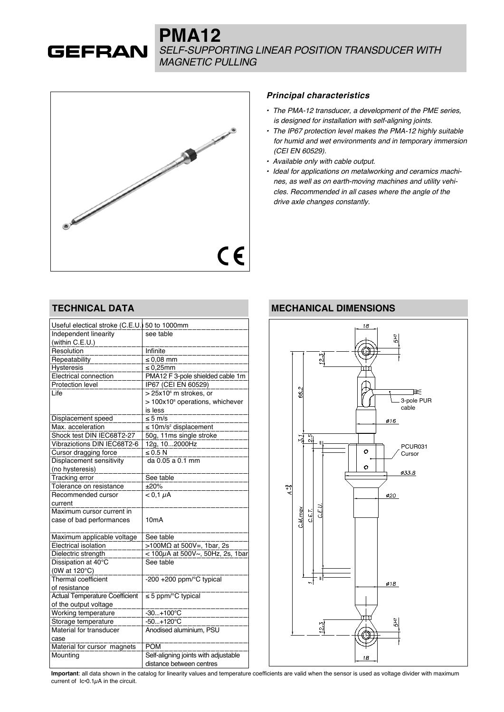**PMA12** *SELF-SUPPORTING LINEAR POSITION TRANSDUCER WITH MAGNETIC PULLING*



#### *Principal characteristics*

- The PMA-12 transducer, a development of the PME series, is designed for installation with self-aligning joints.
- The IP67 protection level makes the PMA-12 highly suitable for humid and wet environments and in temporary immersion (CEI EN 60529).
- Available only with cable output.
- Ideal for applications on metalworking and ceramics machines, as well as on earth-moving machines and utility vehicles. Recommended in all cases where the angle of the drive axle changes constantly.

### **TECHNICAL DATA**

**GEFRAN** 

| Useful electical stroke (C.E.U.) 50 to 1000mm |                                               |
|-----------------------------------------------|-----------------------------------------------|
| Independent linearity                         | see table                                     |
| (within C.E.U.)                               |                                               |
| Resolution                                    | Infinite                                      |
| Repeatability                                 | $\leq 0.08$ mm                                |
| Hysteresis                                    | $\leq 0,25$ mm                                |
| Electrical connection                         | PMA12 F 3-pole shielded cable 1m              |
| Protection level                              | IP67 (CEI EN 60529)                           |
| I ife                                         | > 25x10 <sup>6</sup> m strokes, or            |
|                                               | $> 100x10$ <sup>6</sup> operations, whichever |
|                                               | is less                                       |
| Displacement speed                            | $\leq$ 5 m/s                                  |
| Max. acceleration                             | $\leq$ 10m/s <sup>2</sup> displacement        |
| Shock test DIN IEC68T2-27                     | 50g, 11ms single stroke                       |
| Vibraziotions DIN IEC68T2-6                   | 12g, 102000Hz                                 |
| Cursor dragging force                         | $\leq 0.5 N$                                  |
| Displacement sensitivity                      | da 0.05 a 0.1 mm                              |
| (no hysteresis)                               |                                               |
| Tracking error                                | See table                                     |
| Tolerance on resistance                       | ±20%                                          |
| Recommended cursor                            | $< 0.1 \mu A$                                 |
| current                                       |                                               |
| Maximum cursor current in                     |                                               |
| case of bad performances                      | 10mA                                          |
|                                               |                                               |
| Maximum applicable voltage                    | See table                                     |
| <b>Electrical isolation</b>                   | >100MΩ at 500V=, 1bar, 2s                     |
| Dielectric strength                           | < $100\mu$ A at 500V $\sim$ , 50Hz, 2s, 1bar  |
| Dissipation at 40°C                           | See table                                     |
| (0W at 120°C)                                 |                                               |
| Thermal coefficient                           | $-200 + 200$ ppm/ $\degree$ C typical         |
| of resistance                                 |                                               |
| <b>Actual Temperature Coefficient</b>         | $\leq$ 5 ppm/ $\degree$ C typical             |
| of the output voltage                         |                                               |
| Working temperature                           | $-30+100^{\circ}C$                            |
| Storage temperature                           | $-50+120^{\circ}C$                            |
| Material for transducer                       | Anodised aluminium, PSU                       |
| case                                          |                                               |
| Material for cursor magnets                   | <b>POM</b>                                    |
| Mounting                                      | Self-aligning joints with adjustable          |
|                                               | distance between centres                      |

## **MECHANICAL DIMENSIONS**



**Important**: all data shown in the catalog for linearity values and temperature coefficients are valid when the sensor is used as voltage divider with maximum current of  $Ic-0.1\mu A$  in the circuit.